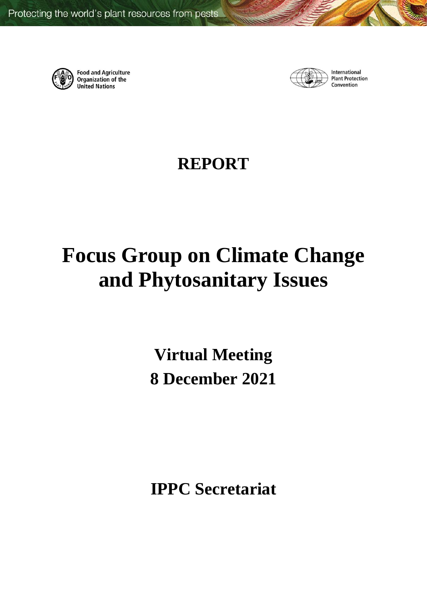

**Food and Agriculture Organization of the United Nations** 



International **Plant Protection** Convention

**REPORT**

# **Focus Group on Climate Change and Phytosanitary Issues**

**Virtual Meeting 8 December 2021**

**IPPC Secretariat**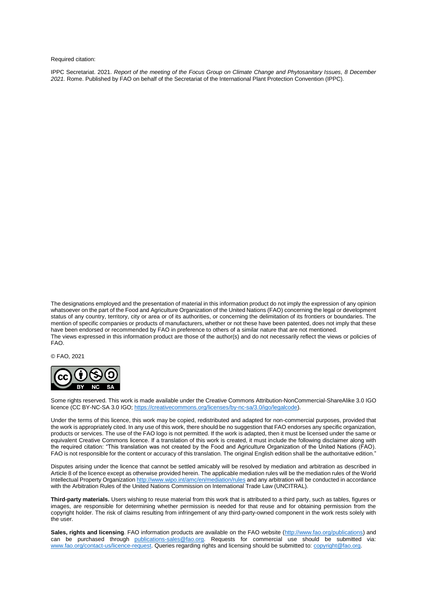Required citation:

IPPC Secretariat. 2021. *Report of the meeting of the Focus Group on Climate Change and Phytosanitary Issues, 8 December 2021.* Rome. Published by FAO on behalf of the Secretariat of the International Plant Protection Convention (IPPC).

The designations employed and the presentation of material in this information product do not imply the expression of any opinion whatsoever on the part of the Food and Agriculture Organization of the United Nations (FAO) concerning the legal or development status of any country, territory, city or area or of its authorities, or concerning the delimitation of its frontiers or boundaries. The mention of specific companies or products of manufacturers, whether or not these have been patented, does not imply that these have been endorsed or recommended by FAO in preference to others of a similar nature that are not mentioned. The views expressed in this information product are those of the author(s) and do not necessarily reflect the views or policies of FAO.

© FAO, 2021



Some rights reserved. This work is made available under the Creative Commons Attribution-NonCommercial-ShareAlike 3.0 IGO licence (CC BY-NC-SA 3.0 IGO; [https://creativecommons.org/licenses/by-nc-sa/3.0/igo/legalcode\)](https://creativecommons.org/licenses/by-nc-sa/3.0/igo/legalcode).

Under the terms of this licence, this work may be copied, redistributed and adapted for non-commercial purposes, provided that the work is appropriately cited. In any use of this work, there should be no suggestion that FAO endorses any specific organization, products or services. The use of the FAO logo is not permitted. If the work is adapted, then it must be licensed under the same or equivalent Creative Commons licence. If a translation of this work is created, it must include the following disclaimer along with the required citation: "This translation was not created by the Food and Agriculture Organization of the United Nations (FAO). FAO is not responsible for the content or accuracy of this translation. The original English edition shall be the authoritative edition."

Disputes arising under the licence that cannot be settled amicably will be resolved by mediation and arbitration as described in Article 8 of the licence except as otherwise provided herein. The applicable mediation rules will be the mediation rules of the World Intellectual Property Organizatio[n http://www.wipo.int/amc/en/mediation/rules](http://www.wipo.int/amc/en/mediation/rules) and any arbitration will be conducted in accordance with the Arbitration Rules of the United Nations Commission on International Trade Law (UNCITRAL).

**Third-party materials.** Users wishing to reuse material from this work that is attributed to a third party, such as tables, figures or images, are responsible for determining whether permission is needed for that reuse and for obtaining permission from the copyright holder. The risk of claims resulting from infringement of any third-party-owned component in the work rests solely with the user.

**Sales, rights and licensing**. FAO information products are available on the FAO website [\(http://www.fao.org/publications\)](http://www.fao.org/publications) and can be purchased through [publications-sales@fao.org.](mailto:publications-sales@fao.org) Requests for commercial use should be submitted via: [www.fao.org/contact-us/licence-request.](http://www.fao.org/contact-us/licence-request) Queries regarding rights and licensing should be submitted to[: copyright@fao.org.](mailto:copyright@fao.org)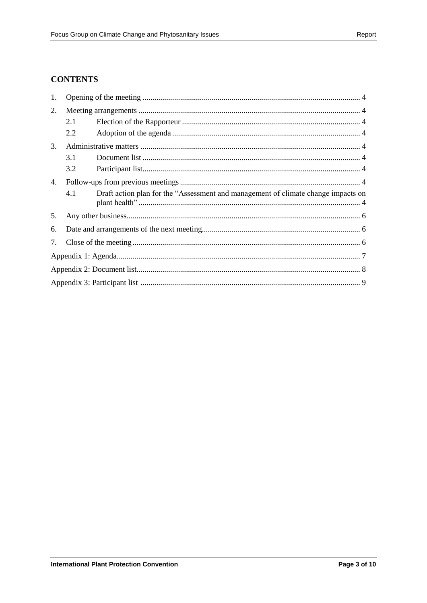## **CONTENTS**

| 1. |     |                                                                                   |  |
|----|-----|-----------------------------------------------------------------------------------|--|
| 2. |     |                                                                                   |  |
|    | 2.1 |                                                                                   |  |
|    | 2.2 |                                                                                   |  |
| 3. |     |                                                                                   |  |
|    | 3.1 |                                                                                   |  |
|    | 3.2 |                                                                                   |  |
| 4. |     |                                                                                   |  |
|    | 4.1 | Draft action plan for the "Assessment and management of climate change impacts on |  |
| 5. |     |                                                                                   |  |
| 6. |     |                                                                                   |  |
| 7. |     |                                                                                   |  |
|    |     |                                                                                   |  |
|    |     |                                                                                   |  |
|    |     |                                                                                   |  |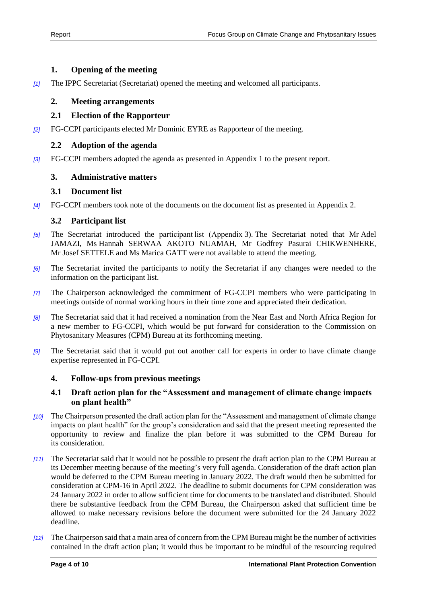#### <span id="page-3-0"></span>**1. Opening of the meeting**

*[1]* The IPPC Secretariat (Secretariat) opened the meeting and welcomed all participants.

#### <span id="page-3-1"></span>**2. Meeting arrangements**

#### <span id="page-3-2"></span>**2.1 Election of the Rapporteur**

*[2]* FG-CCPI participants elected Mr Dominic EYRE as Rapporteur of the meeting.

#### <span id="page-3-3"></span>**2.2 Adoption of the agenda**

*[3]* FG-CCPI members adopted the agenda as presented in Appendix 1 to the present report.

#### <span id="page-3-4"></span>**3. Administrative matters**

#### <span id="page-3-5"></span>**3.1 Document list**

*[4]* FG-CCPI members took note of the documents on the document list as presented in Appendix 2.

#### <span id="page-3-6"></span>**3.2 Participant list**

- *[5]* The Secretariat introduced the participant list (Appendix 3). The Secretariat noted that Mr Adel JAMAZI, Ms Hannah SERWAA AKOTO NUAMAH, Mr Godfrey Pasurai CHIKWENHERE, Mr Josef SETTELE and Ms Marica GATT were not available to attend the meeting.
- *[6]* The Secretariat invited the participants to notify the Secretariat if any changes were needed to the information on the participant list.
- *[7]* The Chairperson acknowledged the commitment of FG-CCPI members who were participating in meetings outside of normal working hours in their time zone and appreciated their dedication.
- *[8]* The Secretariat said that it had received a nomination from the Near East and North Africa Region for a new member to FG-CCPI, which would be put forward for consideration to the Commission on Phytosanitary Measures (CPM) Bureau at its forthcoming meeting.
- *[9]* The Secretariat said that it would put out another call for experts in order to have climate change expertise represented in FG-CCPI.

#### <span id="page-3-7"></span>**4. Follow-ups from previous meetings**

#### <span id="page-3-8"></span>**4.1 Draft action plan for the "Assessment and management of climate change impacts on plant health"**

- *[10]* The Chairperson presented the draft action plan for the "Assessment and management of climate change impacts on plant health" for the group's consideration and said that the present meeting represented the opportunity to review and finalize the plan before it was submitted to the CPM Bureau for its consideration.
- *[11]* The Secretariat said that it would not be possible to present the draft action plan to the CPM Bureau at its December meeting because of the meeting's very full agenda. Consideration of the draft action plan would be deferred to the CPM Bureau meeting in January 2022. The draft would then be submitted for consideration at CPM-16 in April 2022. The deadline to submit documents for CPM consideration was 24 January 2022 in order to allow sufficient time for documents to be translated and distributed. Should there be substantive feedback from the CPM Bureau, the Chairperson asked that sufficient time be allowed to make necessary revisions before the document were submitted for the 24 January 2022 deadline.
- *[12]* The Chairperson said that a main area of concern from the CPM Bureau might be the number of activities contained in the draft action plan; it would thus be important to be mindful of the resourcing required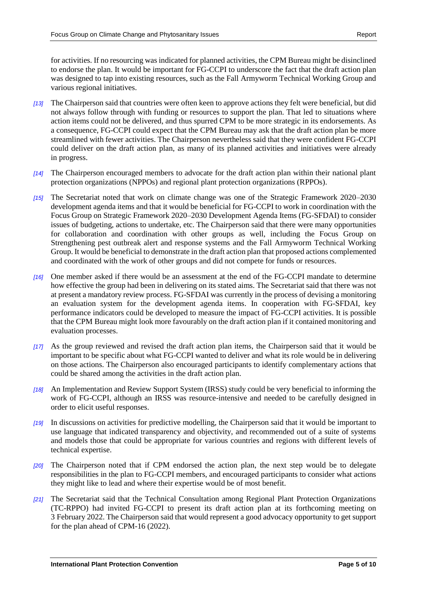for activities. If no resourcing was indicated for planned activities, the CPM Bureau might be disinclined to endorse the plan. It would be important for FG-CCPI to underscore the fact that the draft action plan was designed to tap into existing resources, such as the Fall Armyworm Technical Working Group and various regional initiatives.

- *[13]* The Chairperson said that countries were often keen to approve actions they felt were beneficial, but did not always follow through with funding or resources to support the plan. That led to situations where action items could not be delivered, and thus spurred CPM to be more strategic in its endorsements. As a consequence, FG-CCPI could expect that the CPM Bureau may ask that the draft action plan be more streamlined with fewer activities. The Chairperson nevertheless said that they were confident FG-CCPI could deliver on the draft action plan, as many of its planned activities and initiatives were already in progress.
- *[14]* The Chairperson encouraged members to advocate for the draft action plan within their national plant protection organizations (NPPOs) and regional plant protection organizations (RPPOs).
- *[15]* The Secretariat noted that work on climate change was one of the Strategic Framework 2020–2030 development agenda items and that it would be beneficial for FG-CCPI to work in coordination with the Focus Group on Strategic Framework 2020–2030 Development Agenda Items (FG-SFDAI) to consider issues of budgeting, actions to undertake, etc. The Chairperson said that there were many opportunities for collaboration and coordination with other groups as well, including the Focus Group on Strengthening pest outbreak alert and response systems and the Fall Armyworm Technical Working Group. It would be beneficial to demonstrate in the draft action plan that proposed actions complemented and coordinated with the work of other groups and did not compete for funds or resources.
- *[16]* One member asked if there would be an assessment at the end of the FG-CCPI mandate to determine how effective the group had been in delivering on its stated aims. The Secretariat said that there was not at present a mandatory review process. FG-SFDAI was currently in the process of devising a monitoring an evaluation system for the development agenda items. In cooperation with FG-SFDAI, key performance indicators could be developed to measure the impact of FG-CCPI activities. It is possible that the CPM Bureau might look more favourably on the draft action plan if it contained monitoring and evaluation processes.
- *[17]* As the group reviewed and revised the draft action plan items, the Chairperson said that it would be important to be specific about what FG-CCPI wanted to deliver and what its role would be in delivering on those actions. The Chairperson also encouraged participants to identify complementary actions that could be shared among the activities in the draft action plan.
- *[18]* An Implementation and Review Support System (IRSS) study could be very beneficial to informing the work of FG-CCPI, although an IRSS was resource-intensive and needed to be carefully designed in order to elicit useful responses.
- *[19]* In discussions on activities for predictive modelling, the Chairperson said that it would be important to use language that indicated transparency and objectivity, and recommended out of a suite of systems and models those that could be appropriate for various countries and regions with different levels of technical expertise.
- *[20]* The Chairperson noted that if CPM endorsed the action plan, the next step would be to delegate responsibilities in the plan to FG-CCPI members, and encouraged participants to consider what actions they might like to lead and where their expertise would be of most benefit.
- *[21]* The Secretariat said that the Technical Consultation among Regional Plant Protection Organizations (TC-RPPO) had invited FG-CCPI to present its draft action plan at its forthcoming meeting on 3 February 2022. The Chairperson said that would represent a good advocacy opportunity to get support for the plan ahead of CPM-16 (2022).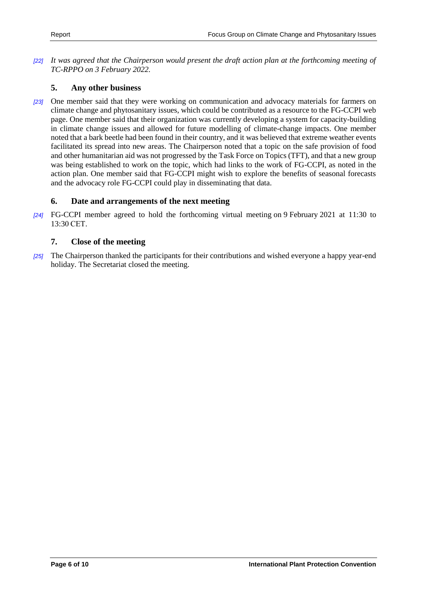*[22] It was agreed that the Chairperson would present the draft action plan at the forthcoming meeting of TC-RPPO on 3 February 2022.*

#### <span id="page-5-0"></span>**5. Any other business**

*[23]* One member said that they were working on communication and advocacy materials for farmers on climate change and phytosanitary issues, which could be contributed as a resource to the FG-CCPI web page. One member said that their organization was currently developing a system for capacity-building in climate change issues and allowed for future modelling of climate-change impacts. One member noted that a bark beetle had been found in their country, and it was believed that extreme weather events facilitated its spread into new areas. The Chairperson noted that a topic on the safe provision of food and other humanitarian aid was not progressed by the Task Force on Topics (TFT), and that a new group was being established to work on the topic, which had links to the work of FG-CCPI, as noted in the action plan. One member said that FG-CCPI might wish to explore the benefits of seasonal forecasts and the advocacy role FG-CCPI could play in disseminating that data.

#### <span id="page-5-1"></span>**6. Date and arrangements of the next meeting**

*[24]* FG-CCPI member agreed to hold the forthcoming virtual meeting on 9 February 2021 at 11:30 to 13:30 CET.

#### <span id="page-5-2"></span>**7. Close of the meeting**

*[25]* The Chairperson thanked the participants for their contributions and wished everyone a happy year-end holiday. The Secretariat closed the meeting.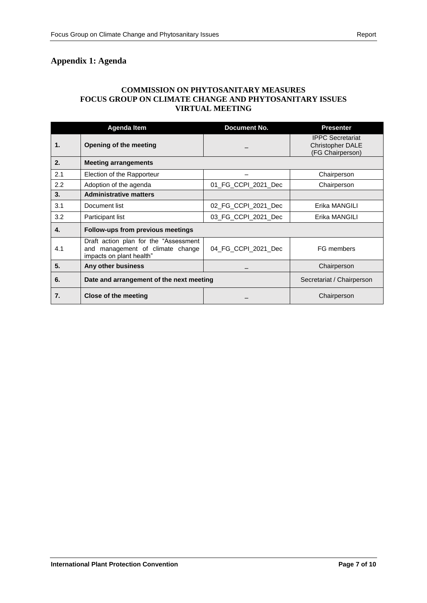# <span id="page-6-0"></span>**Appendix 1: Agenda**

#### **COMMISSION ON PHYTOSANITARY MEASURES FOCUS GROUP ON CLIMATE CHANGE AND PHYTOSANITARY ISSUES VIRTUAL MEETING**

| <b>Agenda Item</b> |                                                                                                        | <b>Document No.</b> | <b>Presenter</b>                                                       |
|--------------------|--------------------------------------------------------------------------------------------------------|---------------------|------------------------------------------------------------------------|
| 1.                 | Opening of the meeting                                                                                 |                     | <b>IPPC Secretariat</b><br><b>Christopher DALE</b><br>(FG Chairperson) |
| 2.                 | <b>Meeting arrangements</b>                                                                            |                     |                                                                        |
| 2.1                | Election of the Rapporteur                                                                             |                     | Chairperson                                                            |
| 2.2                | Adoption of the agenda                                                                                 | 01_FG_CCPI_2021_Dec | Chairperson                                                            |
| 3.                 | <b>Administrative matters</b>                                                                          |                     |                                                                        |
| 3.1                | Document list                                                                                          | 02_FG_CCPI_2021_Dec | Erika MANGILI                                                          |
| 3.2                | Participant list                                                                                       | 03 FG_CCPI_2021_Dec | Erika MANGILI                                                          |
| 4.                 | Follow-ups from previous meetings                                                                      |                     |                                                                        |
| 4.1                | Draft action plan for the "Assessment"<br>and management of climate change<br>impacts on plant health" | 04_FG_CCPI_2021_Dec | FG members                                                             |
| 5.                 | Any other business                                                                                     |                     | Chairperson                                                            |
| 6.                 | Date and arrangement of the next meeting                                                               |                     | Secretariat / Chairperson                                              |
| 7.                 | Close of the meeting                                                                                   |                     | Chairperson                                                            |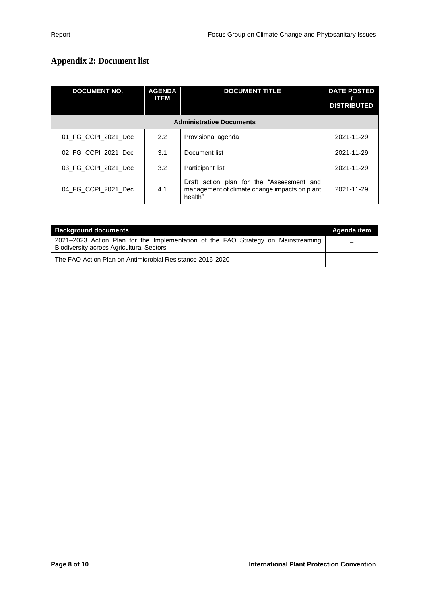# <span id="page-7-0"></span>**Appendix 2: Document list**

| <b>DOCUMENT NO.</b>             | <b>AGENDA</b><br><b>ITEM</b> | <b>DOCUMENT TITLE</b>                                                                                 | <b>DATE POSTED</b><br><b>DISTRIBUTED</b> |  |
|---------------------------------|------------------------------|-------------------------------------------------------------------------------------------------------|------------------------------------------|--|
| <b>Administrative Documents</b> |                              |                                                                                                       |                                          |  |
| 01 FG CCPI 2021 Dec             | 2.2                          | Provisional agenda                                                                                    | 2021-11-29                               |  |
| 02 FG CCPI 2021 Dec             | 3.1                          | Document list                                                                                         | 2021-11-29                               |  |
| 03 FG CCPI 2021 Dec             | 3.2                          | Participant list                                                                                      | 2021-11-29                               |  |
| 04 FG CCPI 2021 Dec             | 4.1                          | Draft action plan for the "Assessment and<br>management of climate change impacts on plant<br>health" | 2021-11-29                               |  |

| <b>Background documents</b>                                                                                                          | Agenda item              |
|--------------------------------------------------------------------------------------------------------------------------------------|--------------------------|
| 2021–2023 Action Plan for the Implementation of the FAO Strategy on Mainstreaming<br><b>Biodiversity across Agricultural Sectors</b> | $\overline{\phantom{0}}$ |
| The FAO Action Plan on Antimicrobial Resistance 2016-2020                                                                            |                          |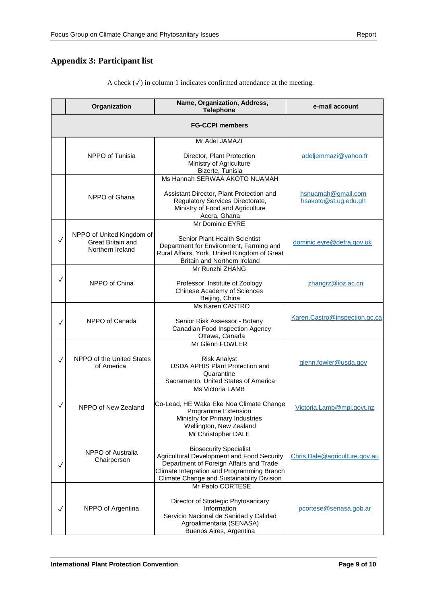# <span id="page-8-0"></span>**Appendix 3: Participant list**

| Organization                                                       | Name, Organization, Address,<br><b>Telephone</b>                                                                                                                                                                   | e-mail account                             |  |
|--------------------------------------------------------------------|--------------------------------------------------------------------------------------------------------------------------------------------------------------------------------------------------------------------|--------------------------------------------|--|
| <b>FG-CCPI members</b>                                             |                                                                                                                                                                                                                    |                                            |  |
|                                                                    | Mr Adel JAMAZI                                                                                                                                                                                                     |                                            |  |
| NPPO of Tunisia                                                    | Director, Plant Protection<br>Ministry of Agriculture<br>Bizerte, Tunisia                                                                                                                                          | adeljemmazi@yahoo.fr                       |  |
|                                                                    | Ms Hannah SERWAA AKOTO NUAMAH                                                                                                                                                                                      |                                            |  |
| NPPO of Ghana                                                      | Assistant Director, Plant Protection and<br>Regulatory Services Directorate,<br>Ministry of Food and Agriculture<br>Accra, Ghana                                                                                   | hsnuamah@gmail.com<br>hsakoto@st.ug.edu.gh |  |
|                                                                    | Mr Dominic EYRE                                                                                                                                                                                                    |                                            |  |
| NPPO of United Kingdom of<br>Great Britain and<br>Northern Ireland | Senior Plant Health Scientist<br>Department for Environment, Farming and<br>Rural Affairs, York, United Kingdom of Great<br>Britain and Northern Ireland                                                           | dominic.eyre@defra.gov.uk                  |  |
|                                                                    | Mr Runzhi ZHANG                                                                                                                                                                                                    |                                            |  |
| NPPO of China                                                      | Professor, Institute of Zoology<br>Chinese Academy of Sciences<br>Beijing, China                                                                                                                                   | zhangrz@ioz.ac.cn                          |  |
|                                                                    | Ms Karen CASTRO                                                                                                                                                                                                    |                                            |  |
| NPPO of Canada                                                     | Senior Risk Assessor - Botany<br>Canadian Food Inspection Agency<br>Ottawa, Canada                                                                                                                                 | Karen.Castro@inspection.gc.ca              |  |
|                                                                    | Mr Glenn FOWLER                                                                                                                                                                                                    |                                            |  |
| NPPO of the United States<br>of America                            | <b>Risk Analyst</b><br>USDA APHIS Plant Protection and<br>Quarantine<br>Sacramento, United States of America                                                                                                       | glenn.fowler@usda.gov                      |  |
|                                                                    | Ms Victoria LAMB                                                                                                                                                                                                   |                                            |  |
| NPPO of New Zealand                                                | Co-Lead, HE Waka Eke Noa Climate Change<br>Programme Extension<br>Ministry for Primary Industries<br>Wellington, New Zealand                                                                                       | Victoria.Lamb@mpi.govt.nz                  |  |
|                                                                    | Mr Christopher DALE                                                                                                                                                                                                |                                            |  |
| NPPO of Australia<br>Chairperson                                   | <b>Biosecurity Specialist</b><br>Agricultural Development and Food Security<br>Department of Foreign Affairs and Trade<br>Climate Integration and Programming Branch<br>Climate Change and Sustainability Division | Chris.Dale@agriculture.gov.au              |  |
| NPPO of Argentina                                                  | Mr Pablo CORTESE<br>Director of Strategic Phytosanitary<br>Information<br>Servicio Nacional de Sanidad y Calidad<br>Agroalimentaria (SENASA)<br>Buenos Aires, Argentina                                            | pcortese@senasa.gob.ar                     |  |

A check  $(\checkmark)$  in column 1 indicates confirmed attendance at the meeting.